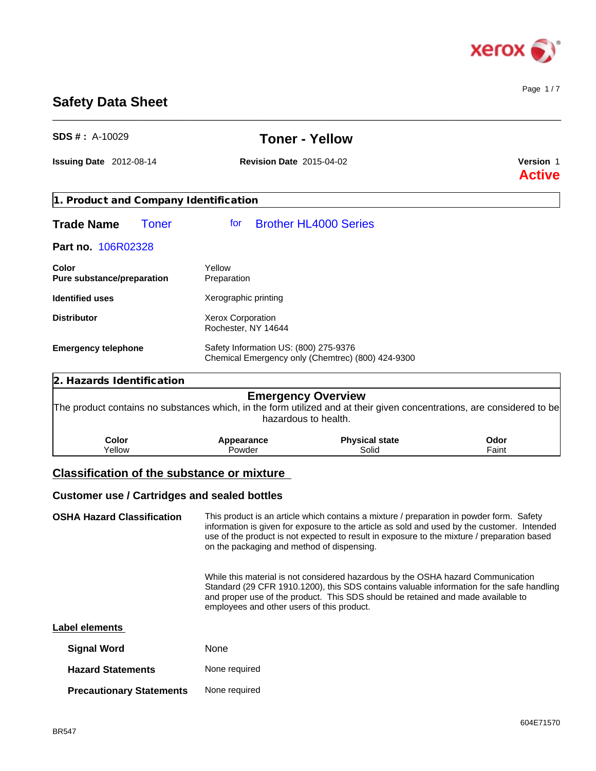

Page 1 / 7

# **Safety Data Sheet**

| $SDS#$ : A-10029                                    |                                                                                            | <b>Toner - Yellow</b>                                                                                                                                                                                                                                                                  |                                   |  |
|-----------------------------------------------------|--------------------------------------------------------------------------------------------|----------------------------------------------------------------------------------------------------------------------------------------------------------------------------------------------------------------------------------------------------------------------------------------|-----------------------------------|--|
| Issuing Date 2012-08-14                             | <b>Revision Date 2015-04-02</b>                                                            |                                                                                                                                                                                                                                                                                        | <b>Version 1</b><br><b>Active</b> |  |
| 1. Product and Company Identification               |                                                                                            |                                                                                                                                                                                                                                                                                        |                                   |  |
| <b>Trade Name</b><br><b>Toner</b>                   | tor                                                                                        | <b>Brother HL4000 Series</b>                                                                                                                                                                                                                                                           |                                   |  |
| Part no. 106R02328                                  |                                                                                            |                                                                                                                                                                                                                                                                                        |                                   |  |
| Color<br>Pure substance/preparation                 | Yellow<br>Preparation                                                                      |                                                                                                                                                                                                                                                                                        |                                   |  |
| <b>Identified uses</b>                              | Xerographic printing                                                                       |                                                                                                                                                                                                                                                                                        |                                   |  |
| <b>Distributor</b>                                  | <b>Xerox Corporation</b><br>Rochester, NY 14644                                            |                                                                                                                                                                                                                                                                                        |                                   |  |
| <b>Emergency telephone</b>                          | Safety Information US: (800) 275-9376<br>Chemical Emergency only (Chemtrec) (800) 424-9300 |                                                                                                                                                                                                                                                                                        |                                   |  |
| 2. Hazards Identification                           |                                                                                            |                                                                                                                                                                                                                                                                                        |                                   |  |
|                                                     |                                                                                            | <b>Emergency Overview</b><br>The product contains no substances which, in the form utilized and at their given concentrations, are considered to be<br>hazardous to health.                                                                                                            |                                   |  |
| <b>Color</b><br>Yellow                              | Appearance<br>Powder                                                                       | <b>Physical state</b><br>Solid                                                                                                                                                                                                                                                         | Odor<br>Faint                     |  |
| <b>Classification of the substance or mixture</b>   |                                                                                            |                                                                                                                                                                                                                                                                                        |                                   |  |
| <b>Customer use / Cartridges and sealed bottles</b> |                                                                                            |                                                                                                                                                                                                                                                                                        |                                   |  |
| <b>OSHA Hazard Classification</b>                   | on the packaging and method of dispensing.                                                 | This product is an article which contains a mixture / preparation in powder form. Safety<br>information is given for exposure to the article as sold and used by the customer. Intended<br>use of the product is not expected to result in exposure to the mixture / preparation based |                                   |  |
|                                                     | employees and other users of this product.                                                 | While this material is not considered hazardous by the OSHA hazard Communication<br>Standard (29 CFR 1910.1200), this SDS contains valuable information for the safe handling<br>and proper use of the product. This SDS should be retained and made available to                      |                                   |  |

\_\_\_\_\_\_\_\_\_\_\_\_\_\_\_\_\_\_\_\_\_\_\_\_\_\_\_\_\_\_\_\_\_\_\_\_\_\_\_\_\_\_\_\_\_\_\_\_\_\_\_\_\_\_\_\_\_\_\_\_\_\_\_\_\_\_\_\_\_\_\_\_\_\_\_\_\_\_\_\_\_\_\_\_\_\_\_\_\_\_\_\_\_\_

| <b>Label elements</b> |  |
|-----------------------|--|
|-----------------------|--|

| <b>Signal Word</b>              | None          |
|---------------------------------|---------------|
| <b>Hazard Statements</b>        | None required |
| <b>Precautionary Statements</b> | None required |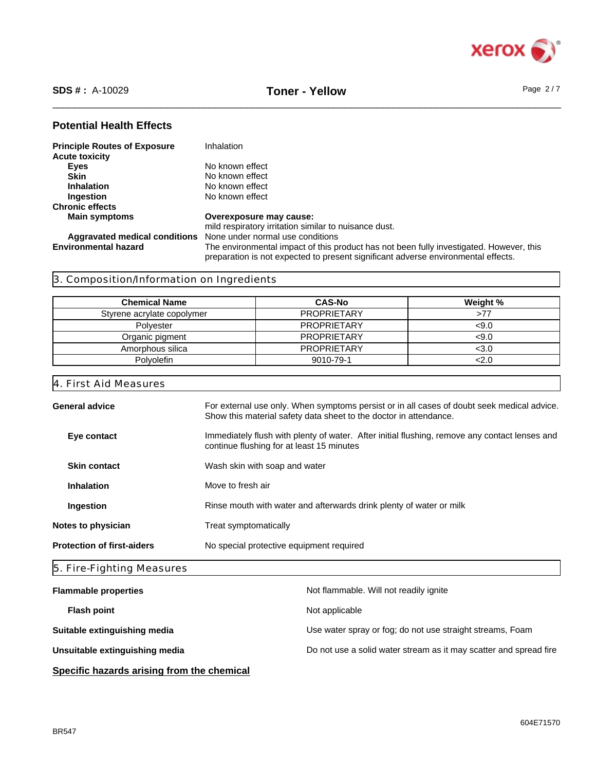

\_\_\_\_\_\_\_\_\_\_\_\_\_\_\_\_\_\_\_\_\_\_\_\_\_\_\_\_\_\_\_\_\_\_\_\_\_\_\_\_\_\_\_\_\_\_\_\_\_\_\_\_\_\_\_\_\_\_\_\_\_\_\_\_\_\_\_\_\_\_\_\_\_\_\_\_\_\_\_\_\_\_\_\_\_\_\_\_\_\_\_\_\_\_ **SDS # :** A-10029 **Toner - Yellow** Page 2 / 7

## **Potential Health Effects**

| <b>Principle Routes of Exposure</b> | Inhalation                                                                                                                                                                   |
|-------------------------------------|------------------------------------------------------------------------------------------------------------------------------------------------------------------------------|
| <b>Acute toxicity</b>               |                                                                                                                                                                              |
| Eyes                                | No known effect                                                                                                                                                              |
| <b>Skin</b>                         | No known effect                                                                                                                                                              |
| <b>Inhalation</b>                   | No known effect                                                                                                                                                              |
| Ingestion                           | No known effect                                                                                                                                                              |
| <b>Chronic effects</b>              |                                                                                                                                                                              |
| <b>Main symptoms</b>                | Overexposure may cause:                                                                                                                                                      |
|                                     | mild respiratory irritation similar to nuisance dust.                                                                                                                        |
| Aggravated medical conditions       | None under normal use conditions                                                                                                                                             |
| <b>Environmental hazard</b>         | The environmental impact of this product has not been fully investigated. However, this<br>preparation is not expected to present significant adverse environmental effects. |

## 3. Composition/Information on Ingredients

| <b>Chemical Name</b>       | <b>CAS-No</b>      | Weight % |
|----------------------------|--------------------|----------|
| Styrene acrylate copolymer | <b>PROPRIETARY</b> | >77      |
| Polvester                  | <b>PROPRIETARY</b> | <9.0     |
| Organic pigment            | <b>PROPRIETARY</b> | <9.0     |
| Amorphous silica           | <b>PROPRIETARY</b> | <3.0     |
| <b>Polvolefin</b>          | 9010-79-1          | <2.0     |

## 4. First Aid Measures

|                                   | General advice      | For external use only. When symptoms persist or in all cases of doubt seek medical advice.<br>Show this material safety data sheet to the doctor in attendance. |
|-----------------------------------|---------------------|-----------------------------------------------------------------------------------------------------------------------------------------------------------------|
|                                   | Eye contact         | Immediately flush with plenty of water. After initial flushing, remove any contact lenses and<br>continue flushing for at least 15 minutes                      |
|                                   | <b>Skin contact</b> | Wash skin with soap and water                                                                                                                                   |
|                                   | <b>Inhalation</b>   | Move to fresh air                                                                                                                                               |
|                                   | <b>Ingestion</b>    | Rinse mouth with water and afterwards drink plenty of water or milk                                                                                             |
| Notes to physician                |                     | Treat symptomatically                                                                                                                                           |
| <b>Protection of first-aiders</b> |                     | No special protective equipment required                                                                                                                        |
|                                   |                     |                                                                                                                                                                 |

## 5. Fire-Fighting Measures

| <b>Flammable properties</b>                | Not flammable. Will not readily ignite                            |
|--------------------------------------------|-------------------------------------------------------------------|
| <b>Flash point</b>                         | Not applicable                                                    |
| Suitable extinguishing media               | Use water spray or fog; do not use straight streams, Foam         |
| Unsuitable extinguishing media             | Do not use a solid water stream as it may scatter and spread fire |
| Specific hazards arising from the chemical |                                                                   |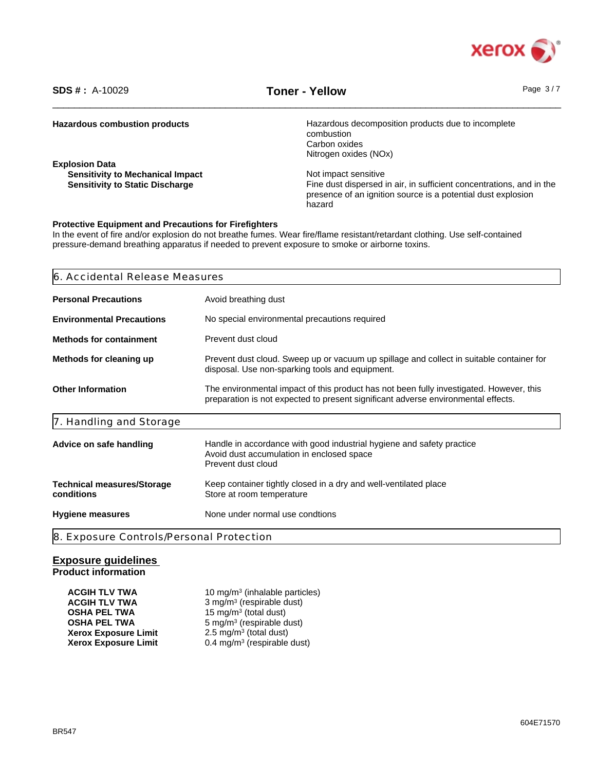

\_\_\_\_\_\_\_\_\_\_\_\_\_\_\_\_\_\_\_\_\_\_\_\_\_\_\_\_\_\_\_\_\_\_\_\_\_\_\_\_\_\_\_\_\_\_\_\_\_\_\_\_\_\_\_\_\_\_\_\_\_\_\_\_\_\_\_\_\_\_\_\_\_\_\_\_\_\_\_\_\_\_\_\_\_\_\_\_\_\_\_\_\_\_ **SDS # :** A-10029 **Toner - Yellow** Page 3 / 7

| <b>Hazardous combustion products</b>    | Hazardous decomposition products due to incomplete<br>combustion     |
|-----------------------------------------|----------------------------------------------------------------------|
|                                         | Carbon oxides                                                        |
|                                         |                                                                      |
|                                         | Nitrogen oxides (NOx)                                                |
| <b>Explosion Data</b>                   |                                                                      |
| <b>Sensitivity to Mechanical Impact</b> | Not impact sensitive                                                 |
| <b>Sensitivity to Static Discharge</b>  | Fine dust dispersed in air, in sufficient concentrations, and in the |
|                                         | presence of an ignition source is a potential dust explosion         |
|                                         | hazard                                                               |
|                                         |                                                                      |

## **Protective Equipment and Precautions for Firefighters**

In the event of fire and/or explosion do not breathe fumes. Wear fire/flame resistant/retardant clothing. Use self-contained pressure-demand breathing apparatus if needed to prevent exposure to smoke or airborne toxins.

| 6. Accidental Release Measures                                                                                                                                                                           |                                                                                                                                          |  |
|----------------------------------------------------------------------------------------------------------------------------------------------------------------------------------------------------------|------------------------------------------------------------------------------------------------------------------------------------------|--|
| Avoid breathing dust<br><b>Personal Precautions</b>                                                                                                                                                      |                                                                                                                                          |  |
| <b>Environmental Precautions</b>                                                                                                                                                                         | No special environmental precautions required                                                                                            |  |
| <b>Methods for containment</b>                                                                                                                                                                           | Prevent dust cloud                                                                                                                       |  |
| Prevent dust cloud. Sweep up or vacuum up spillage and collect in suitable container for<br>Methods for cleaning up<br>disposal. Use non-sparking tools and equipment.                                   |                                                                                                                                          |  |
| <b>Other Information</b><br>The environmental impact of this product has not been fully investigated. However, this<br>preparation is not expected to present significant adverse environmental effects. |                                                                                                                                          |  |
| 7. Handling and Storage                                                                                                                                                                                  |                                                                                                                                          |  |
| Advice on safe handling                                                                                                                                                                                  | Handle in accordance with good industrial hygiene and safety practice<br>Avoid dust accumulation in enclosed space<br>Prevent dust cloud |  |
| <b>Technical measures/Storage</b><br>conditions                                                                                                                                                          | Keep container tightly closed in a dry and well-ventilated place<br>Store at room temperature                                            |  |
| <b>Hygiene measures</b>                                                                                                                                                                                  | None under normal use condtions                                                                                                          |  |
| 8. Exposure Controls/Personal Protection                                                                                                                                                                 |                                                                                                                                          |  |

## **Exposure guidelines Product information**

| <b>ACGIH TLV TWA</b>        | 10 mg/m <sup>3</sup> (inhalable particles) |
|-----------------------------|--------------------------------------------|
| <b>ACGIH TLV TWA</b>        | 3 mg/m <sup>3</sup> (respirable dust)      |
| <b>OSHA PEL TWA</b>         | 15 mg/m <sup>3</sup> (total dust)          |
| <b>OSHA PEL TWA</b>         | 5 mg/m <sup>3</sup> (respirable dust)      |
| <b>Xerox Exposure Limit</b> | 2.5 mg/m <sup>3</sup> (total dust)         |
| <b>Xerox Exposure Limit</b> | $0.4 \text{ mg/m}^3$ (respirable dust)     |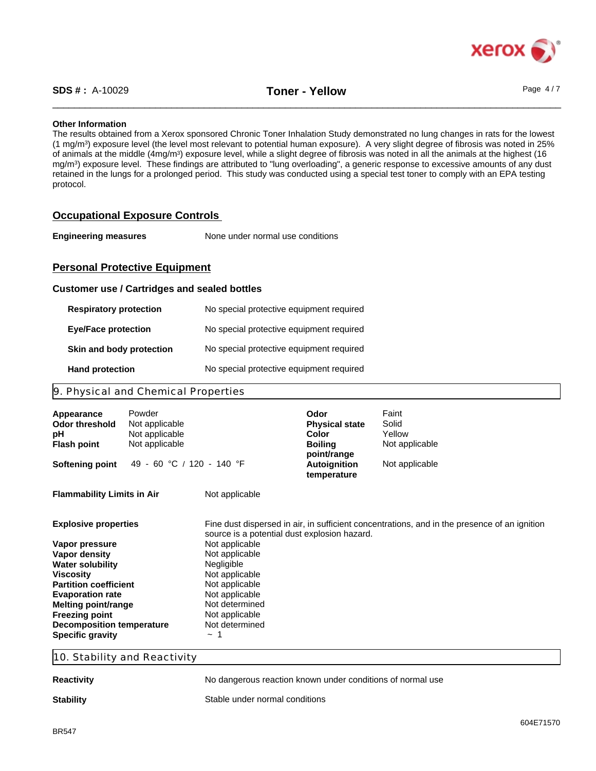

#### **Other Information**

The results obtained from a Xerox sponsored Chronic Toner Inhalation Study demonstrated no lung changes in rats for the lowest (1 mg/m<sup>3</sup> ) exposure level (the level most relevant to potential human exposure). A very slight degree of fibrosis was noted in 25% of animals at the middle (4mg/m<sup>3</sup>) exposure level, while a slight degree of fibrosis was noted in all the animals at the highest (16 mg/m<sup>3</sup> ) exposure level. These findings are attributed to "lung overloading", a generic response to excessive amounts of any dust retained in the lungs for a prolonged period. This study was conducted using a special test toner to comply with an EPA testing protocol.

## **Occupational Exposure Controls**

**Engineering measures** None under normal use conditions

## **Personal Protective Equipment**

#### **Customer use / Cartridges and sealed bottles**

| <b>Respiratory protection</b> | No special protective equipment required |
|-------------------------------|------------------------------------------|
| <b>Eye/Face protection</b>    | No special protective equipment required |
| Skin and body protection      | No special protective equipment required |
| <b>Hand protection</b>        | No special protective equipment required |

## 9. Physical and Chemical Properties

| Powder<br>Appearance<br>Odor threshold<br>рH<br><b>Flash point</b>                                                                                                                                                                                                               | Not applicable<br>Not applicable<br>Not applicable                                                                                                                                                                   | Odor<br><b>Physical state</b><br>Color<br><b>Boiling</b><br>point/range | Faint<br>Solid<br>Yellow<br>Not applicable                                                   |
|----------------------------------------------------------------------------------------------------------------------------------------------------------------------------------------------------------------------------------------------------------------------------------|----------------------------------------------------------------------------------------------------------------------------------------------------------------------------------------------------------------------|-------------------------------------------------------------------------|----------------------------------------------------------------------------------------------|
| <b>Softening point</b>                                                                                                                                                                                                                                                           | 49 - 60 °C / 120 - 140 °F                                                                                                                                                                                            | Autoignition<br>temperature                                             | Not applicable                                                                               |
| <b>Flammability Limits in Air</b>                                                                                                                                                                                                                                                | Not applicable                                                                                                                                                                                                       |                                                                         |                                                                                              |
| <b>Explosive properties</b><br>Vapor pressure<br>Vapor density<br><b>Water solubility</b><br><b>Viscosity</b><br><b>Partition coefficient</b><br><b>Evaporation rate</b><br>Melting point/range<br><b>Freezing point</b><br>Decomposition temperature<br><b>Specific gravity</b> | source is a potential dust explosion hazard.<br>Not applicable<br>Not applicable<br>Negligible<br>Not applicable<br>Not applicable<br>Not applicable<br>Not determined<br>Not applicable<br>Not determined<br>$\sim$ |                                                                         | Fine dust dispersed in air, in sufficient concentrations, and in the presence of an ignition |

10. Stability and Reactivity

**Reactivity Reaction** No dangerous reaction known under conditions of normal use

**Stability** Stable under normal conditions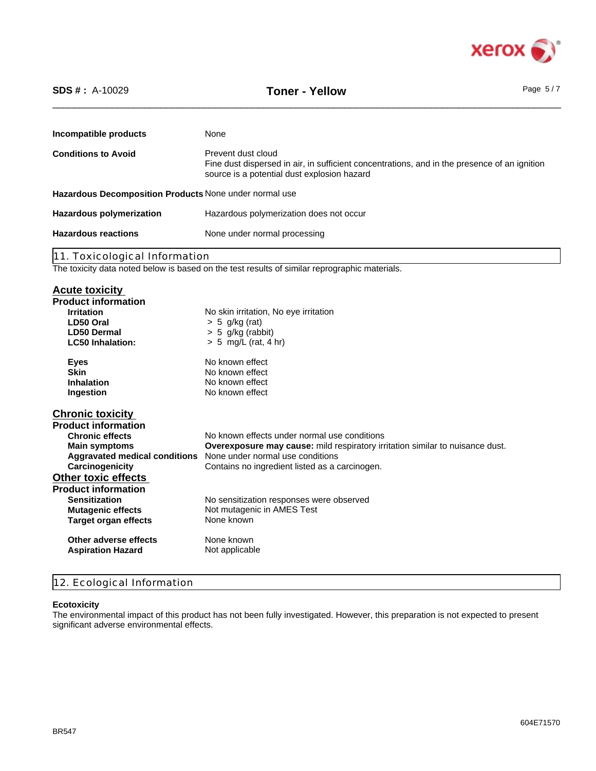

| None<br>Prevent dust cloud<br>Fine dust dispersed in air, in sufficient concentrations, and in the presence of an ignition<br>source is a potential dust explosion hazard<br>Hazardous polymerization does not occur<br><b>Hazardous reactions</b><br>None under normal processing<br>11. Toxicological Information<br><b>Irritation</b><br>No skin irritation, No eye irritation<br>LD50 Oral<br>$> 5$ g/kg (rat)<br>$> 5$ g/kg (rabbit)<br><b>LD50 Dermal</b><br>$> 5$ mg/L (rat, 4 hr)<br><b>LC50 Inhalation:</b><br>No known effect<br><b>Eyes</b><br><b>Skin</b><br>No known effect<br><b>Inhalation</b><br>No known effect<br>No known effect<br>Ingestion<br>No known effects under normal use conditions<br><b>Chronic effects</b><br>Overexposure may cause: mild respiratory irritation similar to nuisance dust.<br><b>Main symptoms</b><br>None under normal use conditions<br><b>Aggravated medical conditions</b><br>Carcinogenicity<br>Contains no ingredient listed as a carcinogen.<br><b>Sensitization</b><br>No sensitization responses were observed<br>Not mutagenic in AMES Test<br><b>Mutagenic effects</b><br><b>Target organ effects</b><br>None known<br>None known<br>Other adverse effects | $SDS #: A-10029$           | <b>Toner - Yellow</b> | Page $5/7$ |
|------------------------------------------------------------------------------------------------------------------------------------------------------------------------------------------------------------------------------------------------------------------------------------------------------------------------------------------------------------------------------------------------------------------------------------------------------------------------------------------------------------------------------------------------------------------------------------------------------------------------------------------------------------------------------------------------------------------------------------------------------------------------------------------------------------------------------------------------------------------------------------------------------------------------------------------------------------------------------------------------------------------------------------------------------------------------------------------------------------------------------------------------------------------------------------------------------------------------|----------------------------|-----------------------|------------|
| <b>Hazardous polymerization</b>                                                                                                                                                                                                                                                                                                                                                                                                                                                                                                                                                                                                                                                                                                                                                                                                                                                                                                                                                                                                                                                                                                                                                                                        | Incompatible products      |                       |            |
| Hazardous Decomposition Products None under normal use<br>The toxicity data noted below is based on the test results of similar reprographic materials.<br><b>Acute toxicity</b><br><b>Product information</b><br><b>Chronic toxicity</b><br><b>Product information</b><br><b>Other toxic effects</b><br><b>Product information</b>                                                                                                                                                                                                                                                                                                                                                                                                                                                                                                                                                                                                                                                                                                                                                                                                                                                                                    | <b>Conditions to Avoid</b> |                       |            |
|                                                                                                                                                                                                                                                                                                                                                                                                                                                                                                                                                                                                                                                                                                                                                                                                                                                                                                                                                                                                                                                                                                                                                                                                                        |                            |                       |            |
|                                                                                                                                                                                                                                                                                                                                                                                                                                                                                                                                                                                                                                                                                                                                                                                                                                                                                                                                                                                                                                                                                                                                                                                                                        |                            |                       |            |
|                                                                                                                                                                                                                                                                                                                                                                                                                                                                                                                                                                                                                                                                                                                                                                                                                                                                                                                                                                                                                                                                                                                                                                                                                        |                            |                       |            |
|                                                                                                                                                                                                                                                                                                                                                                                                                                                                                                                                                                                                                                                                                                                                                                                                                                                                                                                                                                                                                                                                                                                                                                                                                        |                            |                       |            |
|                                                                                                                                                                                                                                                                                                                                                                                                                                                                                                                                                                                                                                                                                                                                                                                                                                                                                                                                                                                                                                                                                                                                                                                                                        |                            |                       |            |
|                                                                                                                                                                                                                                                                                                                                                                                                                                                                                                                                                                                                                                                                                                                                                                                                                                                                                                                                                                                                                                                                                                                                                                                                                        |                            |                       |            |
|                                                                                                                                                                                                                                                                                                                                                                                                                                                                                                                                                                                                                                                                                                                                                                                                                                                                                                                                                                                                                                                                                                                                                                                                                        |                            |                       |            |
|                                                                                                                                                                                                                                                                                                                                                                                                                                                                                                                                                                                                                                                                                                                                                                                                                                                                                                                                                                                                                                                                                                                                                                                                                        |                            |                       |            |
|                                                                                                                                                                                                                                                                                                                                                                                                                                                                                                                                                                                                                                                                                                                                                                                                                                                                                                                                                                                                                                                                                                                                                                                                                        |                            |                       |            |
|                                                                                                                                                                                                                                                                                                                                                                                                                                                                                                                                                                                                                                                                                                                                                                                                                                                                                                                                                                                                                                                                                                                                                                                                                        |                            |                       |            |
|                                                                                                                                                                                                                                                                                                                                                                                                                                                                                                                                                                                                                                                                                                                                                                                                                                                                                                                                                                                                                                                                                                                                                                                                                        |                            |                       |            |
|                                                                                                                                                                                                                                                                                                                                                                                                                                                                                                                                                                                                                                                                                                                                                                                                                                                                                                                                                                                                                                                                                                                                                                                                                        |                            |                       |            |
|                                                                                                                                                                                                                                                                                                                                                                                                                                                                                                                                                                                                                                                                                                                                                                                                                                                                                                                                                                                                                                                                                                                                                                                                                        |                            |                       |            |
|                                                                                                                                                                                                                                                                                                                                                                                                                                                                                                                                                                                                                                                                                                                                                                                                                                                                                                                                                                                                                                                                                                                                                                                                                        |                            |                       |            |
|                                                                                                                                                                                                                                                                                                                                                                                                                                                                                                                                                                                                                                                                                                                                                                                                                                                                                                                                                                                                                                                                                                                                                                                                                        |                            |                       |            |
|                                                                                                                                                                                                                                                                                                                                                                                                                                                                                                                                                                                                                                                                                                                                                                                                                                                                                                                                                                                                                                                                                                                                                                                                                        |                            |                       |            |
|                                                                                                                                                                                                                                                                                                                                                                                                                                                                                                                                                                                                                                                                                                                                                                                                                                                                                                                                                                                                                                                                                                                                                                                                                        |                            |                       |            |
|                                                                                                                                                                                                                                                                                                                                                                                                                                                                                                                                                                                                                                                                                                                                                                                                                                                                                                                                                                                                                                                                                                                                                                                                                        |                            |                       |            |
|                                                                                                                                                                                                                                                                                                                                                                                                                                                                                                                                                                                                                                                                                                                                                                                                                                                                                                                                                                                                                                                                                                                                                                                                                        |                            |                       |            |
|                                                                                                                                                                                                                                                                                                                                                                                                                                                                                                                                                                                                                                                                                                                                                                                                                                                                                                                                                                                                                                                                                                                                                                                                                        |                            |                       |            |
|                                                                                                                                                                                                                                                                                                                                                                                                                                                                                                                                                                                                                                                                                                                                                                                                                                                                                                                                                                                                                                                                                                                                                                                                                        |                            |                       |            |
|                                                                                                                                                                                                                                                                                                                                                                                                                                                                                                                                                                                                                                                                                                                                                                                                                                                                                                                                                                                                                                                                                                                                                                                                                        |                            |                       |            |
|                                                                                                                                                                                                                                                                                                                                                                                                                                                                                                                                                                                                                                                                                                                                                                                                                                                                                                                                                                                                                                                                                                                                                                                                                        |                            |                       |            |
|                                                                                                                                                                                                                                                                                                                                                                                                                                                                                                                                                                                                                                                                                                                                                                                                                                                                                                                                                                                                                                                                                                                                                                                                                        |                            |                       |            |
|                                                                                                                                                                                                                                                                                                                                                                                                                                                                                                                                                                                                                                                                                                                                                                                                                                                                                                                                                                                                                                                                                                                                                                                                                        |                            |                       |            |
|                                                                                                                                                                                                                                                                                                                                                                                                                                                                                                                                                                                                                                                                                                                                                                                                                                                                                                                                                                                                                                                                                                                                                                                                                        |                            |                       |            |
|                                                                                                                                                                                                                                                                                                                                                                                                                                                                                                                                                                                                                                                                                                                                                                                                                                                                                                                                                                                                                                                                                                                                                                                                                        |                            |                       |            |
|                                                                                                                                                                                                                                                                                                                                                                                                                                                                                                                                                                                                                                                                                                                                                                                                                                                                                                                                                                                                                                                                                                                                                                                                                        | Aspiration Hazard          | Not applicable        |            |

## 12. Ecological Information

## **Ecotoxicity**

The environmental impact of this product has not been fully investigated. However, this preparation is not expected to present significant adverse environmental effects.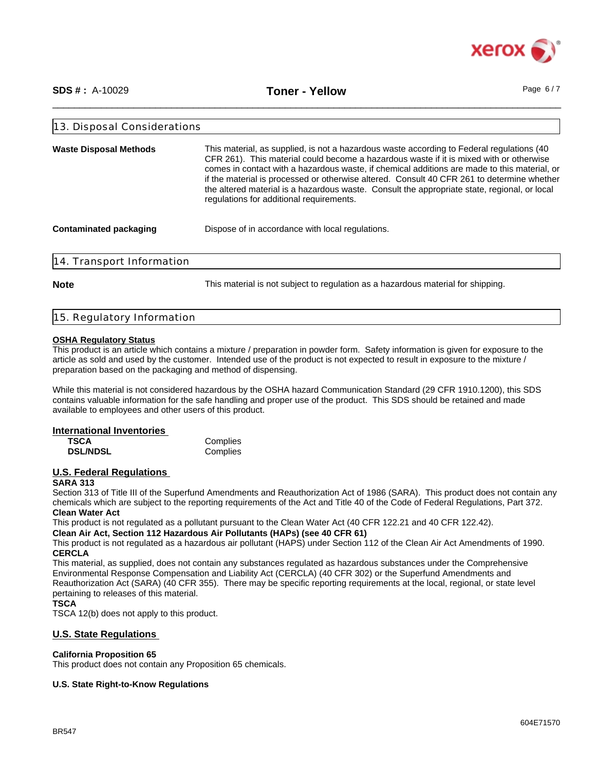

\_\_\_\_\_\_\_\_\_\_\_\_\_\_\_\_\_\_\_\_\_\_\_\_\_\_\_\_\_\_\_\_\_\_\_\_\_\_\_\_\_\_\_\_\_\_\_\_\_\_\_\_\_\_\_\_\_\_\_\_\_\_\_\_\_\_\_\_\_\_\_\_\_\_\_\_\_\_\_\_\_\_\_\_\_\_\_\_\_\_\_\_\_\_ **SDS # :** A-10029 **Toner - Yellow** Page 6 / 7

| 13. Disposal Considerations                                                                                                                                                                                                                                                                                                                                                                                                                                                                                                                                     |                                                                                  |  |  |  |
|-----------------------------------------------------------------------------------------------------------------------------------------------------------------------------------------------------------------------------------------------------------------------------------------------------------------------------------------------------------------------------------------------------------------------------------------------------------------------------------------------------------------------------------------------------------------|----------------------------------------------------------------------------------|--|--|--|
| This material, as supplied, is not a hazardous waste according to Federal regulations (40<br><b>Waste Disposal Methods</b><br>CFR 261). This material could become a hazardous waste if it is mixed with or otherwise<br>comes in contact with a hazardous waste, if chemical additions are made to this material, or<br>if the material is processed or otherwise altered. Consult 40 CFR 261 to determine whether<br>the altered material is a hazardous waste. Consult the appropriate state, regional, or local<br>regulations for additional requirements. |                                                                                  |  |  |  |
| <b>Contaminated packaging</b>                                                                                                                                                                                                                                                                                                                                                                                                                                                                                                                                   | Dispose of in accordance with local regulations.                                 |  |  |  |
| 14. Transport Information                                                                                                                                                                                                                                                                                                                                                                                                                                                                                                                                       |                                                                                  |  |  |  |
| <b>Note</b>                                                                                                                                                                                                                                                                                                                                                                                                                                                                                                                                                     | This material is not subject to regulation as a hazardous material for shipping. |  |  |  |

| 15. Regulatory Information |
|----------------------------|
|----------------------------|

## **OSHA Regulatory Status**

This product is an article which contains a mixture / preparation in powder form. Safety information is given for exposure to the article as sold and used by the customer. Intended use of the product is not expected to result in exposure to the mixture / preparation based on the packaging and method of dispensing.

While this material is not considered hazardous by the OSHA hazard Communication Standard (29 CFR 1910.1200), this SDS contains valuable information for the safe handling and proper use of the product. This SDS should be retained and made available to employees and other users of this product.

## **International Inventories**

**TSCA** Complies<br> **DSL/NDSL** Complies **DSL/NDSL** 

## **U.S. Federal Regulations**

## **SARA 313**

Section 313 of Title III of the Superfund Amendments and Reauthorization Act of 1986 (SARA). This product does not contain any chemicals which are subject to the reporting requirements of the Act and Title 40 of the Code of Federal Regulations, Part 372. **Clean Water Act**

This product is not regulated as a pollutant pursuant to the Clean Water Act (40 CFR 122.21 and 40 CFR 122.42).

**Clean Air Act, Section 112 Hazardous Air Pollutants (HAPs) (see 40 CFR 61)**

This product is not regulated as a hazardous air pollutant (HAPS) under Section 112 of the Clean Air Act Amendments of 1990. **CERCLA**

This material, as supplied, does not contain any substances regulated as hazardous substances under the Comprehensive Environmental Response Compensation and Liability Act (CERCLA) (40 CFR 302) or the Superfund Amendments and Reauthorization Act (SARA) (40 CFR 355). There may be specific reporting requirements at the local, regional, or state level pertaining to releases of this material.

#### **TSCA**

TSCA 12(b) does not apply to this product.

## **U.S. State Regulations**

#### **California Proposition 65**

This product does not contain any Proposition 65 chemicals.

## **U.S. State Right-to-Know Regulations**